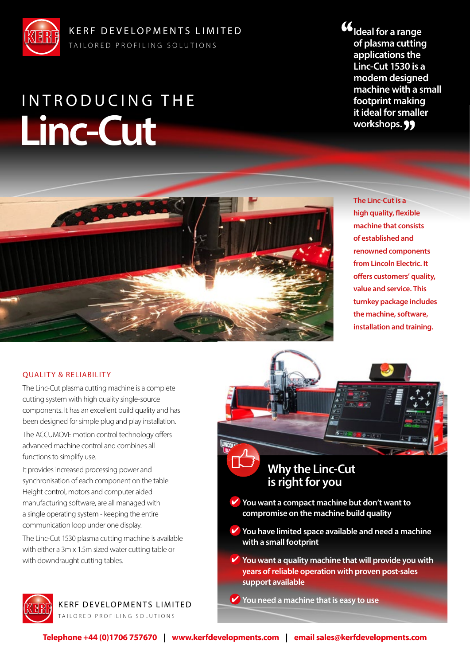

# **Linc-Cut** INTRODUCING THE

**Ideal for a range of plasma cutting applications the Linc-Cut 1530 is a modern designed machine with a small footprint making it ideal for smaller workshops.**



**The Linc-Cut is a high quality, flexible machine that consists of established and renowned components from Lincoln Electric. It offers customers' quality, value and service. This turnkey package includes the machine, software, installation and training.**

#### QUALITY & RELIABILITY

The Linc-Cut plasma cutting machine is a complete cutting system with high quality single-source components. It has an excellent build quality and has been designed for simple plug and play installation.

The ACCUMOVE motion control technology offers advanced machine control and combines all functions to simplify use.

It provides increased processing power and synchronisation of each component on the table. Height control, motors and computer aided manufacturing software, are all managed with a single operating system - keeping the entire communication loop under one display.

The Linc-Cut 1530 plasma cutting machine is available with either a 3m x 1.5m sized water cutting table or with downdraught cutting tables.



KERF DEVELOPMENTS LIMITED

TAILORED PROFILING SOLUTIONS



# **Why the Linc-Cut is right for you**

- **You want a compact machine but don't want to compromise on the machine build quality**
- **You have limited space available and need a machine with a small footprint**
- **You want a quality machine that will provide you with years of reliable operation with proven post-sales support available**
- You need a machine that is easy to use